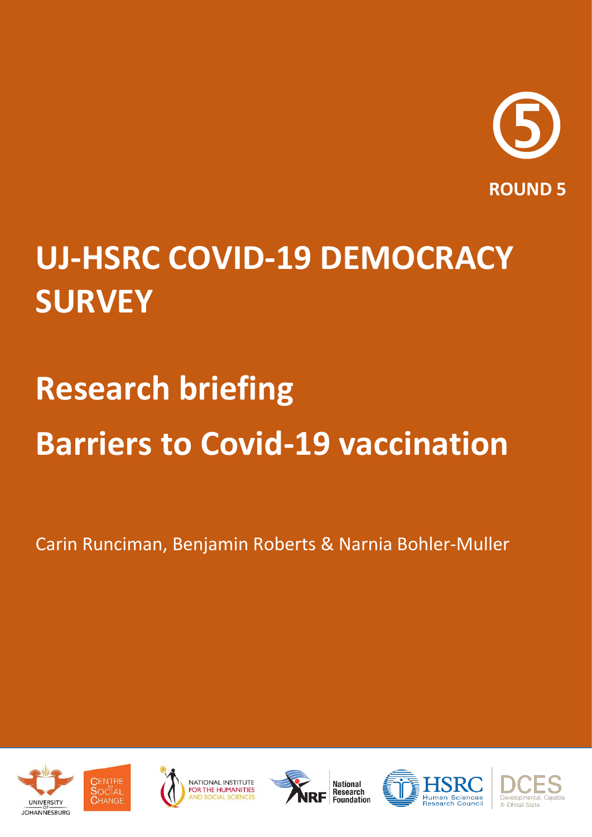

## **UJ-HSRC COVID-19 DEMOCRACY SURVEY**

# **Research briefing Barriers to Covid-19 vaccination**

Carin Runciman, Benjamin Roberts & Narnia Bohler-Muller











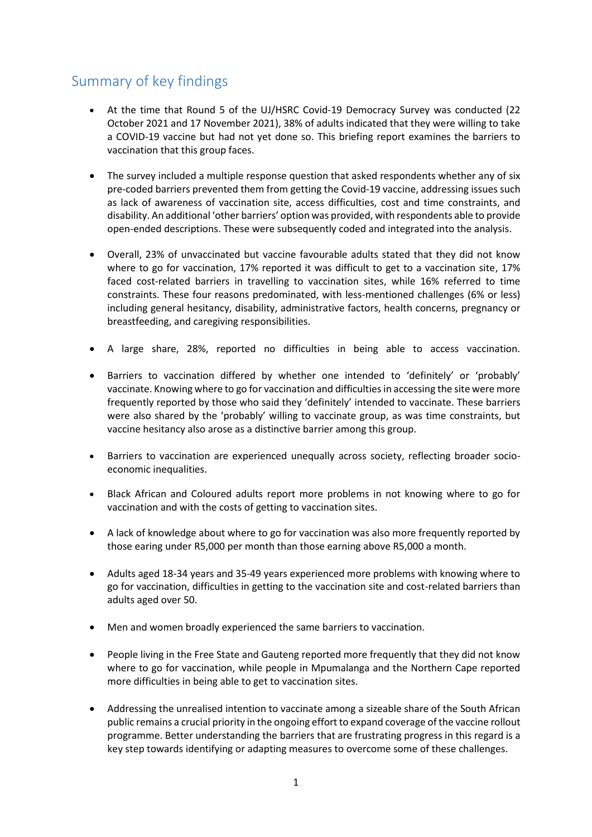## Summary of key findings

- At the time that Round 5 of the UJ/HSRC Covid-19 Democracy Survey was conducted (22 October 2021 and 17 November 2021), 38% of adults indicated that they were willing to take a COVID-19 vaccine but had not yet done so. This briefing report examines the barriers to vaccination that this group faces.
- The survey included a multiple response question that asked respondents whether any of six pre-coded barriers prevented them from getting the Covid-19 vaccine, addressing issues such as lack of awareness of vaccination site, access difficulties, cost and time constraints, and disability. An additional 'other barriers' option was provided, with respondents able to provide open-ended descriptions. These were subsequently coded and integrated into the analysis.
- Overall, 23% of unvaccinated but vaccine favourable adults stated that they did not know where to go for vaccination, 17% reported it was difficult to get to a vaccination site, 17% faced cost-related barriers in travelling to vaccination sites, while 16% referred to time constraints. These four reasons predominated, with less-mentioned challenges (6% or less) including general hesitancy, disability, administrative factors, health concerns, pregnancy or breastfeeding, and caregiving responsibilities.
- A large share, 28%, reported no difficulties in being able to access vaccination.
- Barriers to vaccination differed by whether one intended to 'definitely' or 'probably' vaccinate. Knowing where to go for vaccination and difficulties in accessing the site were more frequently reported by those who said they 'definitely' intended to vaccinate. These barriers were also shared by the 'probably' willing to vaccinate group, as was time constraints, but vaccine hesitancy also arose as a distinctive barrier among this group.
- Barriers to vaccination are experienced unequally across society, reflecting broader socioeconomic inequalities.
- Black African and Coloured adults report more problems in not knowing where to go for vaccination and with the costs of getting to vaccination sites.
- A lack of knowledge about where to go for vaccination was also more frequently reported by those earing under R5,000 per month than those earning above R5,000 a month.
- Adults aged 18-34 years and 35-49 years experienced more problems with knowing where to go for vaccination, difficulties in getting to the vaccination site and cost-related barriers than adults aged over 50.
- Men and women broadly experienced the same barriers to vaccination.
- People living in the Free State and Gauteng reported more frequently that they did not know where to go for vaccination, while people in Mpumalanga and the Northern Cape reported more difficulties in being able to get to vaccination sites.
- Addressing the unrealised intention to vaccinate among a sizeable share of the South African public remains a crucial priority in the ongoing effort to expand coverage of the vaccine rollout programme. Better understanding the barriers that are frustrating progress in this regard is a key step towards identifying or adapting measures to overcome some of these challenges.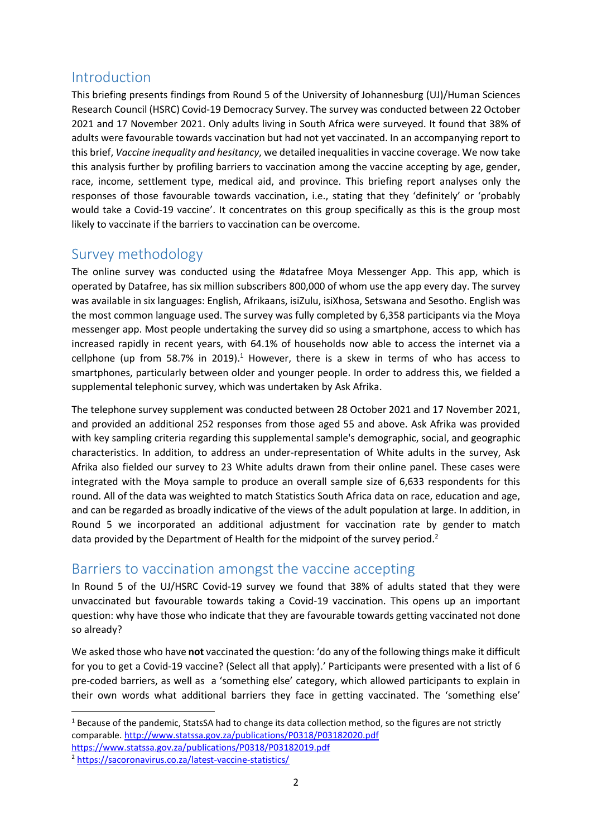## Introduction

This briefing presents findings from Round 5 of the University of Johannesburg (UJ)/Human Sciences Research Council (HSRC) Covid-19 Democracy Survey. The survey was conducted between 22 October 2021 and 17 November 2021. Only adults living in South Africa were surveyed. It found that 38% of adults were favourable towards vaccination but had not yet vaccinated. In an accompanying report to this brief, *Vaccine inequality and hesitancy*, we detailed inequalities in vaccine coverage. We now take this analysis further by profiling barriers to vaccination among the vaccine accepting by age, gender, race, income, settlement type, medical aid, and province. This briefing report analyses only the responses of those favourable towards vaccination, i.e., stating that they 'definitely' or 'probably would take a Covid-19 vaccine'. It concentrates on this group specifically as this is the group most likely to vaccinate if the barriers to vaccination can be overcome.

## Survey methodology

The online survey was conducted using the #datafree Moya Messenger App. This app, which is operated by Datafree, has six million subscribers 800,000 of whom use the app every day. The survey was available in six languages: English, Afrikaans, isiZulu, isiXhosa, Setswana and Sesotho. English was the most common language used. The survey was fully completed by 6,358 participants via the Moya messenger app. Most people undertaking the survey did so using a smartphone, access to which has increased rapidly in recent years, with 64.1% of households now able to access the internet via a cellphone (up from 58.7% in 2019).<sup>1</sup> However, there is a skew in terms of who has access to smartphones, particularly between older and younger people. In order to address this, we fielded a supplemental telephonic survey, which was undertaken by Ask Afrika.

The telephone survey supplement was conducted between 28 October 2021 and 17 November 2021, and provided an additional 252 responses from those aged 55 and above. Ask Afrika was provided with key sampling criteria regarding this supplemental sample's demographic, social, and geographic characteristics. In addition, to address an under-representation of White adults in the survey, Ask Afrika also fielded our survey to 23 White adults drawn from their online panel. These cases were integrated with the Moya sample to produce an overall sample size of 6,633 respondents for this round. All of the data was weighted to match Statistics South Africa data on race, education and age, and can be regarded as broadly indicative of the views of the adult population at large. In addition, in Round 5 we incorporated an additional adjustment for vaccination rate by gender to match data provided by the Department of Health for the midpoint of the survey period.<sup>2</sup>

## Barriers to vaccination amongst the vaccine accepting

In Round 5 of the UJ/HSRC Covid-19 survey we found that 38% of adults stated that they were unvaccinated but favourable towards taking a Covid-19 vaccination. This opens up an important question: why have those who indicate that they are favourable towards getting vaccinated not done so already?

We asked those who have **not** vaccinated the question: 'do any of the following things make it difficult for you to get a Covid-19 vaccine? (Select all that apply).' Participants were presented with a list of 6 pre-coded barriers, as well as a 'something else' category, which allowed participants to explain in their own words what additional barriers they face in getting vaccinated. The 'something else'

1

 $1$  Because of the pandemic, StatsSA had to change its data collection method, so the figures are not strictly comparable. <http://www.statssa.gov.za/publications/P0318/P03182020.pdf> <https://www.statssa.gov.za/publications/P0318/P03182019.pdf>

<sup>2</sup> <https://sacoronavirus.co.za/latest-vaccine-statistics/>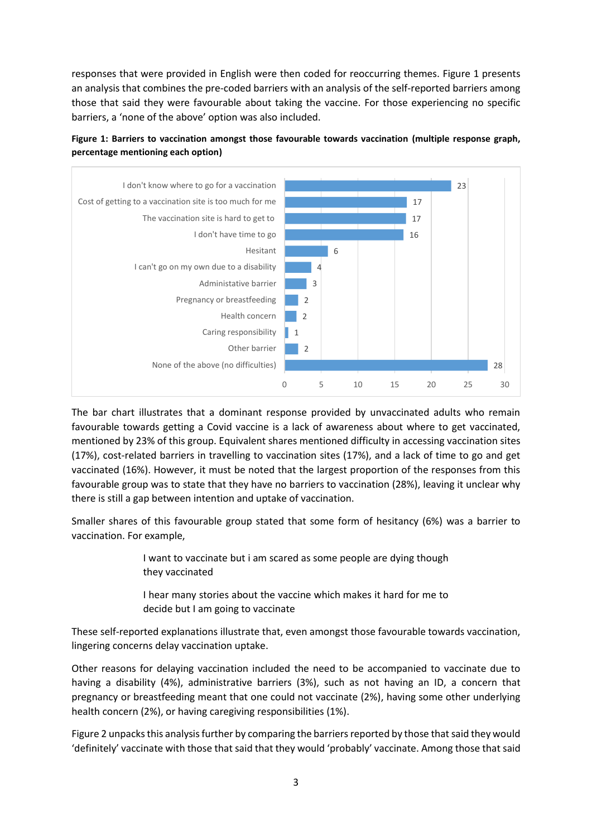responses that were provided in English were then coded for reoccurring themes. Figure 1 presents an analysis that combines the pre-coded barriers with an analysis of the self-reported barriers among those that said they were favourable about taking the vaccine. For those experiencing no specific barriers, a 'none of the above' option was also included.





The bar chart illustrates that a dominant response provided by unvaccinated adults who remain favourable towards getting a Covid vaccine is a lack of awareness about where to get vaccinated, mentioned by 23% of this group. Equivalent shares mentioned difficulty in accessing vaccination sites (17%), cost-related barriers in travelling to vaccination sites (17%), and a lack of time to go and get vaccinated (16%). However, it must be noted that the largest proportion of the responses from this favourable group was to state that they have no barriers to vaccination (28%), leaving it unclear why there is still a gap between intention and uptake of vaccination.

Smaller shares of this favourable group stated that some form of hesitancy (6%) was a barrier to vaccination. For example,

> I want to vaccinate but i am scared as some people are dying though they vaccinated

> I hear many stories about the vaccine which makes it hard for me to decide but I am going to vaccinate

These self-reported explanations illustrate that, even amongst those favourable towards vaccination, lingering concerns delay vaccination uptake.

Other reasons for delaying vaccination included the need to be accompanied to vaccinate due to having a disability (4%), administrative barriers (3%), such as not having an ID, a concern that pregnancy or breastfeeding meant that one could not vaccinate (2%), having some other underlying health concern (2%), or having caregiving responsibilities (1%).

Figure 2 unpacks this analysis further by comparing the barriers reported by those that said they would 'definitely' vaccinate with those that said that they would 'probably' vaccinate. Among those that said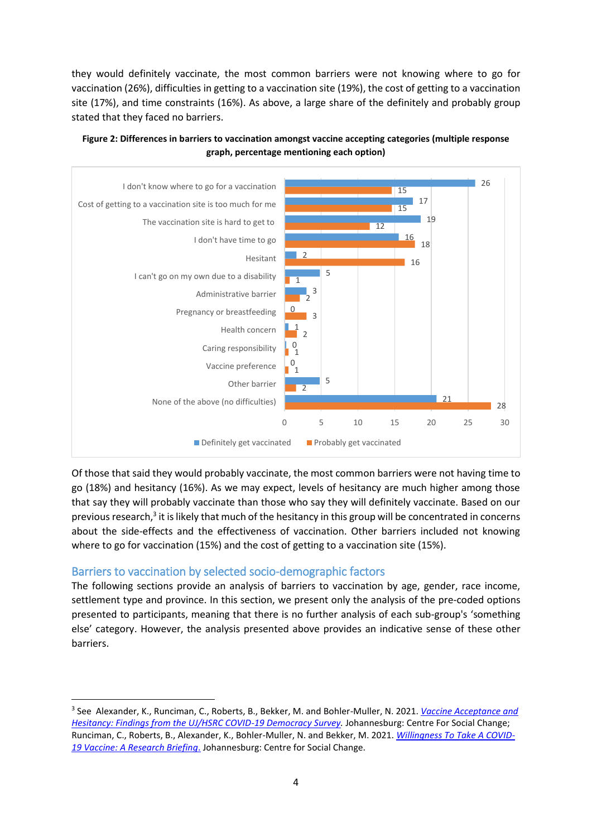they would definitely vaccinate, the most common barriers were not knowing where to go for vaccination (26%), difficulties in getting to a vaccination site (19%), the cost of getting to a vaccination site (17%), and time constraints (16%). As above, a large share of the definitely and probably group stated that they faced no barriers.



**Figure 2: Differences in barriers to vaccination amongst vaccine accepting categories (multiple response graph, percentage mentioning each option)**

Of those that said they would probably vaccinate, the most common barriers were not having time to go (18%) and hesitancy (16%). As we may expect, levels of hesitancy are much higher among those that say they will probably vaccinate than those who say they will definitely vaccinate. Based on our previous research,<sup>3</sup> it is likely that much of the hesitancy in this group will be concentrated in concerns about the side-effects and the effectiveness of vaccination. Other barriers included not knowing where to go for vaccination (15%) and the cost of getting to a vaccination site (15%).

#### Barriers to vaccination by selected socio-demographic factors

**.** 

The following sections provide an analysis of barriers to vaccination by age, gender, race income, settlement type and province. In this section, we present only the analysis of the pre-coded options presented to participants, meaning that there is no further analysis of each sub-group's 'something else' category. However, the analysis presented above provides an indicative sense of these other barriers.

<sup>3</sup> See Alexander, K., Runciman, C., Roberts, B., Bekker, M. and Bohler-Muller, N. 2021. *[Vaccine Acceptance and](http://www.hsrc.ac.za/uploads/pageContent/1045979/2021-08-18%20UJ-HSRC%20R4%20Report%201%20Vaccine%20acceptance.pdf)  [Hesitancy: Findings from the UJ/HSRC COVID-19 Democracy Survey.](http://www.hsrc.ac.za/uploads/pageContent/1045979/2021-08-18%20UJ-HSRC%20R4%20Report%201%20Vaccine%20acceptance.pdf)* Johannesburg: Centre For Social Change; Runciman, C., Roberts, B., Alexander, K., Bohler-Muller, N. and Bekker, M. 2021. *[Willingness To Take A COVID-](http://www.hsrc.ac.za/uploads/pageContent/1045085/2021-01-25%20Vaccine%20briefing%20(final).pdf)[19 Vaccine: A Research Briefing](http://www.hsrc.ac.za/uploads/pageContent/1045085/2021-01-25%20Vaccine%20briefing%20(final).pdf)*. Johannesburg: Centre for Social Change.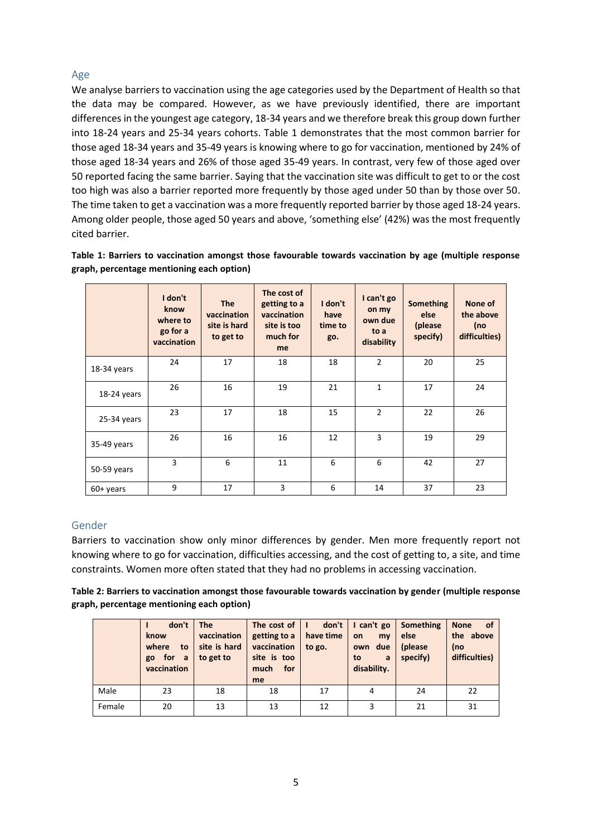#### Age

We analyse barriers to vaccination using the age categories used by the Department of Health so that the data may be compared. However, as we have previously identified, there are important differences in the youngest age category, 18-34 years and we therefore break this group down further into 18-24 years and 25-34 years cohorts. Table 1 demonstrates that the most common barrier for those aged 18-34 years and 35-49 years is knowing where to go for vaccination, mentioned by 24% of those aged 18-34 years and 26% of those aged 35-49 years. In contrast, very few of those aged over 50 reported facing the same barrier. Saying that the vaccination site was difficult to get to or the cost too high was also a barrier reported more frequently by those aged under 50 than by those over 50. The time taken to get a vaccination was a more frequently reported barrier by those aged 18-24 years. Among older people, those aged 50 years and above, 'something else' (42%) was the most frequently cited barrier.

|                                           | Table 1: Barriers to vaccination amongst those favourable towards vaccination by age (multiple response |  |  |  |
|-------------------------------------------|---------------------------------------------------------------------------------------------------------|--|--|--|
| graph, percentage mentioning each option) |                                                                                                         |  |  |  |

|             | I don't<br>know<br>where to<br>go for a<br>vaccination | <b>The</b><br>vaccination<br>site is hard<br>to get to | The cost of<br>getting to a<br>vaccination<br>site is too<br>much for<br>me | I don't<br>have<br>time to<br>go. | I can't go<br>on my<br>own due<br>to a<br>disability | <b>Something</b><br>else<br>(please)<br>specify) | None of<br>the above<br>(no<br>difficulties) |
|-------------|--------------------------------------------------------|--------------------------------------------------------|-----------------------------------------------------------------------------|-----------------------------------|------------------------------------------------------|--------------------------------------------------|----------------------------------------------|
| 18-34 years | 24                                                     | 17                                                     | 18                                                                          | 18                                | $\overline{2}$                                       | 20                                               | 25                                           |
| 18-24 years | 26                                                     | 16                                                     | 19                                                                          | 21                                | $\mathbf{1}$                                         | 17                                               | 24                                           |
| 25-34 years | 23                                                     | 17                                                     | 18                                                                          | 15                                | $\overline{2}$                                       | 22                                               | 26                                           |
| 35-49 years | 26                                                     | 16                                                     | 16                                                                          | 12                                | 3                                                    | 19                                               | 29                                           |
| 50-59 years | 3                                                      | 6                                                      | 11                                                                          | 6                                 | 6                                                    | 42                                               | 27                                           |
| $60+$ years | 9                                                      | 17                                                     | 3                                                                           | 6                                 | 14                                                   | 37                                               | 23                                           |

#### Gender

Barriers to vaccination show only minor differences by gender. Men more frequently report not knowing where to go for vaccination, difficulties accessing, and the cost of getting to, a site, and time constraints. Women more often stated that they had no problems in accessing vaccination.

| Table 2: Barriers to vaccination amongst those favourable towards vaccination by gender (multiple response |
|------------------------------------------------------------------------------------------------------------|
| graph, percentage mentioning each option)                                                                  |

|        | don't<br>know<br>where<br>to<br>for a<br>go<br>vaccination | <b>The</b><br>vaccination<br>site is hard<br>to get to | The cost of<br>getting to a<br>vaccination<br>site is too<br>much for<br>me | don't<br>п<br>have time<br>to go. | I can't go<br>on<br>mv<br>own due<br>to<br>a<br>disability. | Something<br>else<br>(please<br>specify) | _of<br><b>None</b><br>the above<br>(no<br>difficulties) |
|--------|------------------------------------------------------------|--------------------------------------------------------|-----------------------------------------------------------------------------|-----------------------------------|-------------------------------------------------------------|------------------------------------------|---------------------------------------------------------|
| Male   | 23                                                         | 18                                                     | 18                                                                          | 17                                | 4                                                           | 24                                       | 22                                                      |
| Female | 20                                                         | 13                                                     | 13                                                                          | 12                                | 3                                                           | 21                                       | 31                                                      |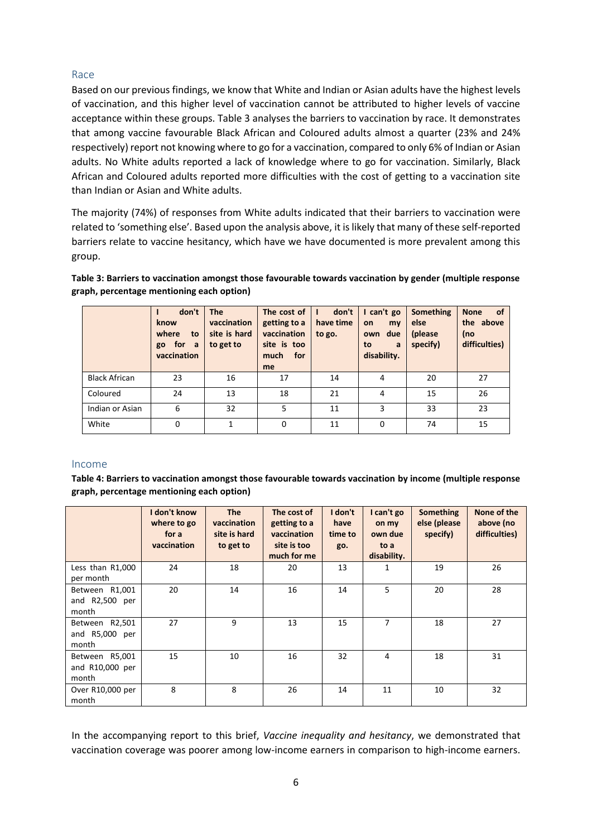#### Race

Based on our previous findings, we know that White and Indian or Asian adults have the highest levels of vaccination, and this higher level of vaccination cannot be attributed to higher levels of vaccine acceptance within these groups. Table 3 analyses the barriers to vaccination by race. It demonstrates that among vaccine favourable Black African and Coloured adults almost a quarter (23% and 24% respectively) report not knowing where to go for a vaccination, compared to only 6% of Indian or Asian adults. No White adults reported a lack of knowledge where to go for vaccination. Similarly, Black African and Coloured adults reported more difficulties with the cost of getting to a vaccination site than Indian or Asian and White adults.

The majority (74%) of responses from White adults indicated that their barriers to vaccination were related to 'something else'. Based upon the analysis above, it is likely that many of these self-reported barriers relate to vaccine hesitancy, which have we have documented is more prevalent among this group.

**Table 3: Barriers to vaccination amongst those favourable towards vaccination by gender (multiple response graph, percentage mentioning each option)**

|                      | don't<br>know<br>where<br>to<br>for<br>a<br>go<br>vaccination | <b>The</b><br>vaccination<br>site is hard<br>to get to | The cost of<br>getting to a<br>vaccination<br>site is too<br>much<br>for<br>me | don't<br>have time<br>to go. | I can't go<br>my<br>on<br>own due<br>to<br>a<br>disability. | <b>Something</b><br>else<br>(please)<br>specify) | <b>None</b><br><b>of</b><br>the above<br>(no<br>difficulties) |
|----------------------|---------------------------------------------------------------|--------------------------------------------------------|--------------------------------------------------------------------------------|------------------------------|-------------------------------------------------------------|--------------------------------------------------|---------------------------------------------------------------|
| <b>Black African</b> | 23                                                            | 16                                                     | 17                                                                             | 14                           | 4                                                           | 20                                               | 27                                                            |
| Coloured             | 24                                                            | 13                                                     | 18                                                                             | 21                           | 4                                                           | 15                                               | 26                                                            |
| Indian or Asian      | 6                                                             | 32                                                     | 5                                                                              | 11                           | 3                                                           | 33                                               | 23                                                            |
| White                | $\Omega$                                                      | $\mathbf{1}$                                           | 0                                                                              | 11                           | 0                                                           | 74                                               | 15                                                            |

#### Income

**Table 4: Barriers to vaccination amongst those favourable towards vaccination by income (multiple response graph, percentage mentioning each option)**

|                                            | I don't know<br>where to go<br>for a<br>vaccination | <b>The</b><br>vaccination<br>site is hard<br>to get to | The cost of<br>getting to a<br>vaccination<br>site is too<br>much for me | I don't<br>have<br>time to<br>go. | I can't go<br>on my<br>own due<br>to a<br>disability. | Something<br>else (please<br>specify) | None of the<br>above (no<br>difficulties) |
|--------------------------------------------|-----------------------------------------------------|--------------------------------------------------------|--------------------------------------------------------------------------|-----------------------------------|-------------------------------------------------------|---------------------------------------|-------------------------------------------|
| Less than R1,000<br>per month              | 24                                                  | 18                                                     | 20                                                                       | 13                                | 1                                                     | 19                                    | 26                                        |
| Between R1,001<br>and R2,500 per<br>month  | 20                                                  | 14                                                     | 16                                                                       | 14                                | 5                                                     | 20                                    | 28                                        |
| Between R2,501<br>and R5,000 per<br>month  | 27                                                  | 9                                                      | 13                                                                       | 15                                | 7                                                     | 18                                    | 27                                        |
| Between R5,001<br>and R10,000 per<br>month | 15                                                  | 10                                                     | 16                                                                       | 32                                | 4                                                     | 18                                    | 31                                        |
| Over R10,000 per<br>month                  | 8                                                   | 8                                                      | 26                                                                       | 14                                | 11                                                    | 10                                    | 32                                        |

In the accompanying report to this brief, *Vaccine inequality and hesitancy*, we demonstrated that vaccination coverage was poorer among low-income earners in comparison to high-income earners.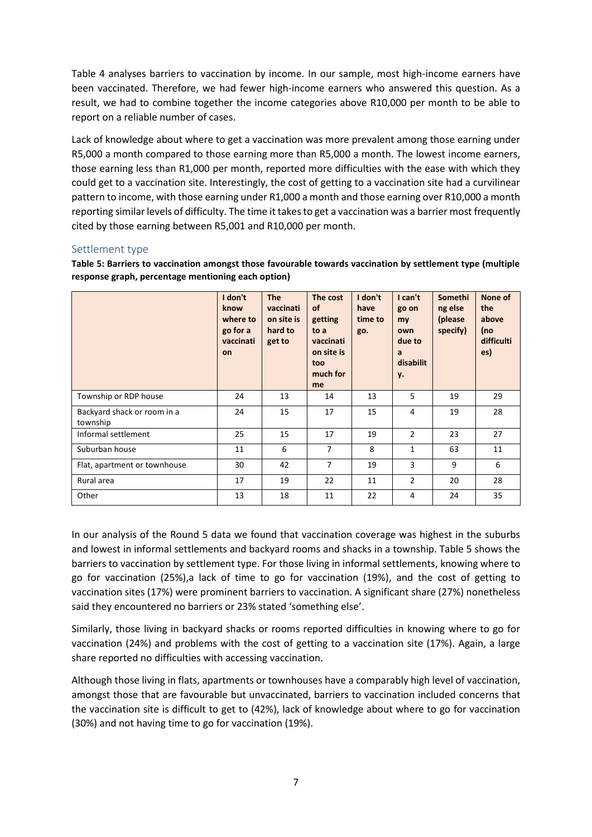Table 4 analyses barriers to vaccination by income. In our sample, most high-income earners have been vaccinated. Therefore, we had fewer high-income earners who answered this question. As a result, we had to combine together the income categories above R10,000 per month to be able to report on a reliable number of cases.

Lack of knowledge about where to get a vaccination was more prevalent among those earning under R5,000 a month compared to those earning more than R5,000 a month. The lowest income earners, those earning less than R1,000 per month, reported more difficulties with the ease with which they could get to a vaccination site. Interestingly, the cost of getting to a vaccination site had a curvilinear pattern to income, with those earning under R1,000 a month and those earning over R10,000 a month reporting similar levels of difficulty. The time it takes to get a vaccination was a barrier most frequently cited by those earning between R5,001 and R10,000 per month.

#### Settlement type

**Table 5: Barriers to vaccination amongst those favourable towards vaccination by settlement type (multiple response graph, percentage mentioning each option)**

|                                         | I don't<br>know<br>where to<br>go for a<br>vaccinati<br>on | <b>The</b><br>vaccinati<br>on site is<br>hard to<br>get to | The cost<br><b>of</b><br>getting<br>to a<br>vaccinati<br>on site is<br>too<br>much for<br>me | I don't<br>have<br>time to<br>go. | I can't<br>go on<br>my<br>own<br>due to<br>a<br>disabilit<br>y. | Somethi<br>ng else<br>(please)<br>specify) | None of<br>the<br>above<br>(no<br>difficulti<br>es) |
|-----------------------------------------|------------------------------------------------------------|------------------------------------------------------------|----------------------------------------------------------------------------------------------|-----------------------------------|-----------------------------------------------------------------|--------------------------------------------|-----------------------------------------------------|
| Township or RDP house                   | 24                                                         | 13                                                         | 14                                                                                           | 13                                | 5                                                               | 19                                         | 29                                                  |
| Backyard shack or room in a<br>township | 24                                                         | 15                                                         | 17                                                                                           | 15                                | 4                                                               | 19                                         | 28                                                  |
| Informal settlement                     | 25                                                         | 15                                                         | 17                                                                                           | 19                                | $\overline{2}$                                                  | 23                                         | 27                                                  |
| Suburban house                          | 11                                                         | 6                                                          | $\overline{7}$                                                                               | 8                                 | 1                                                               | 63                                         | 11                                                  |
| Flat, apartment or townhouse            | 30                                                         | 42                                                         | $\overline{7}$                                                                               | 19                                | 3                                                               | 9                                          | 6                                                   |
| Rural area                              | 17                                                         | 19                                                         | 22                                                                                           | 11                                | $\overline{2}$                                                  | 20                                         | 28                                                  |
| Other                                   | 13                                                         | 18                                                         | 11                                                                                           | 22                                | 4                                                               | 24                                         | 35                                                  |

In our analysis of the Round 5 data we found that vaccination coverage was highest in the suburbs and lowest in informal settlements and backyard rooms and shacks in a township. Table 5 shows the barriers to vaccination by settlement type. For those living in informal settlements, knowing where to go for vaccination (25%),a lack of time to go for vaccination (19%), and the cost of getting to vaccination sites (17%) were prominent barriers to vaccination. A significant share (27%) nonetheless said they encountered no barriers or 23% stated 'something else'.

Similarly, those living in backyard shacks or rooms reported difficulties in knowing where to go for vaccination (24%) and problems with the cost of getting to a vaccination site (17%). Again, a large share reported no difficulties with accessing vaccination.

Although those living in flats, apartments or townhouses have a comparably high level of vaccination, amongst those that are favourable but unvaccinated, barriers to vaccination included concerns that the vaccination site is difficult to get to (42%), lack of knowledge about where to go for vaccination (30%) and not having time to go for vaccination (19%).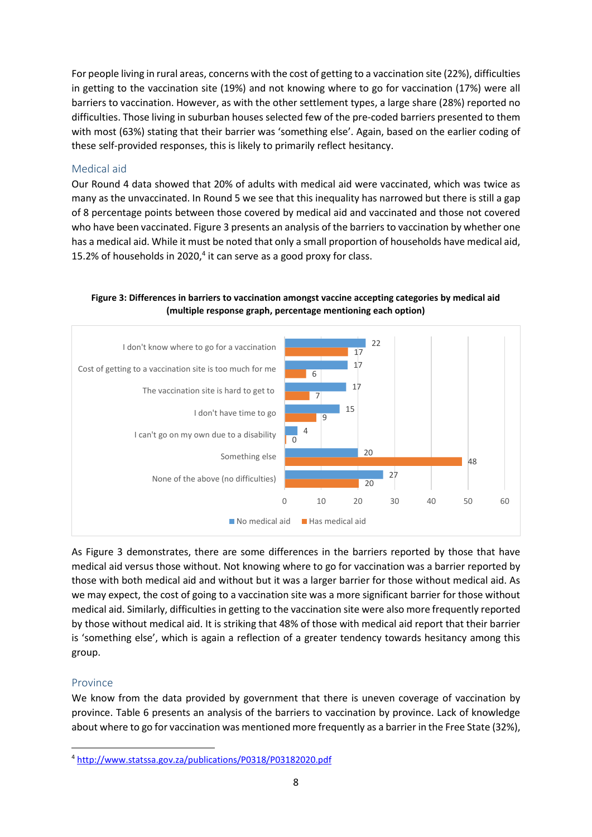For people living in rural areas, concerns with the cost of getting to a vaccination site (22%), difficulties in getting to the vaccination site (19%) and not knowing where to go for vaccination (17%) were all barriers to vaccination. However, as with the other settlement types, a large share (28%) reported no difficulties. Those living in suburban houses selected few of the pre-coded barriers presented to them with most (63%) stating that their barrier was 'something else'. Again, based on the earlier coding of these self-provided responses, this is likely to primarily reflect hesitancy.

#### Medical aid

Our Round 4 data showed that 20% of adults with medical aid were vaccinated, which was twice as many as the unvaccinated. In Round 5 we see that this inequality has narrowed but there is still a gap of 8 percentage points between those covered by medical aid and vaccinated and those not covered who have been vaccinated. Figure 3 presents an analysis of the barriers to vaccination by whether one has a medical aid. While it must be noted that only a small proportion of households have medical aid, 15.2% of households in 2020, $4$  it can serve as a good proxy for class.



**Figure 3: Differences in barriers to vaccination amongst vaccine accepting categories by medical aid (multiple response graph, percentage mentioning each option)**

As Figure 3 demonstrates, there are some differences in the barriers reported by those that have medical aid versus those without. Not knowing where to go for vaccination was a barrier reported by those with both medical aid and without but it was a larger barrier for those without medical aid. As we may expect, the cost of going to a vaccination site was a more significant barrier for those without medical aid. Similarly, difficulties in getting to the vaccination site were also more frequently reported by those without medical aid. It is striking that 48% of those with medical aid report that their barrier is 'something else', which is again a reflection of a greater tendency towards hesitancy among this group.

#### Province

**.** 

We know from the data provided by government that there is uneven coverage of vaccination by province. Table 6 presents an analysis of the barriers to vaccination by province. Lack of knowledge about where to go for vaccination was mentioned more frequently as a barrier in the Free State (32%),

<sup>4</sup> <http://www.statssa.gov.za/publications/P0318/P03182020.pdf>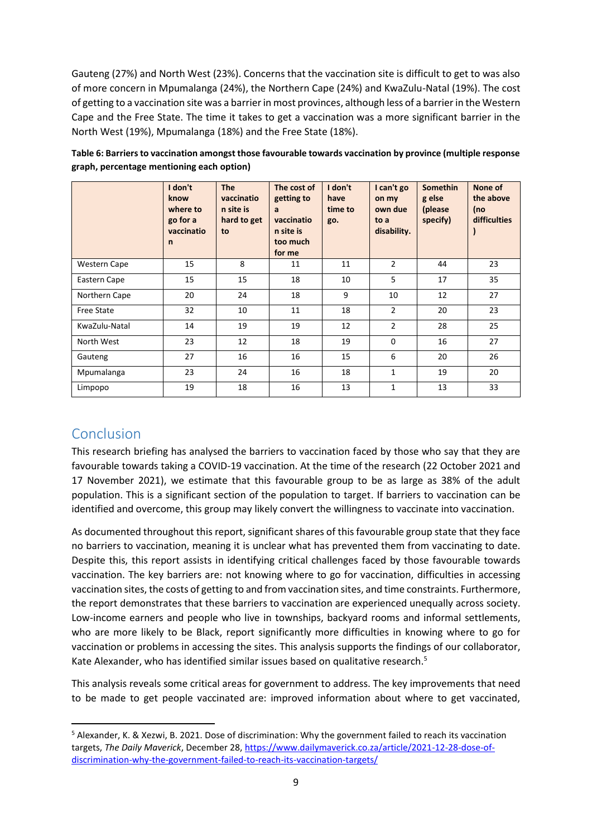Gauteng (27%) and North West (23%). Concerns that the vaccination site is difficult to get to was also of more concern in Mpumalanga (24%), the Northern Cape (24%) and KwaZulu-Natal (19%). The cost of getting to a vaccination site was a barrier in most provinces, although less of a barrier in the Western Cape and the Free State. The time it takes to get a vaccination was a more significant barrier in the North West (19%), Mpumalanga (18%) and the Free State (18%).

|                     | I don't<br>know<br>where to<br>go for a<br>vaccinatio<br>$\mathsf{n}$ | <b>The</b><br>vaccinatio<br>n site is<br>hard to get<br>to | The cost of<br>getting to<br>a<br>vaccinatio<br>n site is<br>too much<br>for me | I don't<br>have<br>time to<br>go. | I can't go<br>on my<br>own due<br>to a<br>disability. | <b>Somethin</b><br>g else<br>(please<br>specify) | None of<br>the above<br>(no<br><b>difficulties</b> |
|---------------------|-----------------------------------------------------------------------|------------------------------------------------------------|---------------------------------------------------------------------------------|-----------------------------------|-------------------------------------------------------|--------------------------------------------------|----------------------------------------------------|
| <b>Western Cape</b> | 15                                                                    | 8                                                          | 11                                                                              | 11                                | $\overline{2}$                                        | 44                                               | 23                                                 |
| Eastern Cape        | 15                                                                    | 15                                                         | 18                                                                              | 10                                | 5                                                     | 17                                               | 35                                                 |
| Northern Cape       | 20                                                                    | 24                                                         | 18                                                                              | 9                                 | 10                                                    | 12                                               | 27                                                 |
| <b>Free State</b>   | 32                                                                    | 10                                                         | 11                                                                              | 18                                | $\overline{2}$                                        | 20                                               | 23                                                 |
| KwaZulu-Natal       | 14                                                                    | 19                                                         | 19                                                                              | 12                                | $\overline{2}$                                        | 28                                               | 25                                                 |
| North West          | 23                                                                    | 12                                                         | 18                                                                              | 19                                | $\mathbf 0$                                           | 16                                               | 27                                                 |
| Gauteng             | 27                                                                    | 16                                                         | 16                                                                              | 15                                | 6                                                     | 20                                               | 26                                                 |
| Mpumalanga          | 23                                                                    | 24                                                         | 16                                                                              | 18                                | $\mathbf{1}$                                          | 19                                               | 20                                                 |
| Limpopo             | 19                                                                    | 18                                                         | 16                                                                              | 13                                | 1                                                     | 13                                               | 33                                                 |

**Table 6: Barriers to vaccination amongst those favourable towards vaccination by province (multiple response graph, percentage mentioning each option)**

## Conclusion

**.** 

This research briefing has analysed the barriers to vaccination faced by those who say that they are favourable towards taking a COVID-19 vaccination. At the time of the research (22 October 2021 and 17 November 2021), we estimate that this favourable group to be as large as 38% of the adult population. This is a significant section of the population to target. If barriers to vaccination can be identified and overcome, this group may likely convert the willingness to vaccinate into vaccination.

As documented throughout this report, significant shares of this favourable group state that they face no barriers to vaccination, meaning it is unclear what has prevented them from vaccinating to date. Despite this, this report assists in identifying critical challenges faced by those favourable towards vaccination. The key barriers are: not knowing where to go for vaccination, difficulties in accessing vaccination sites, the costs of getting to and from vaccination sites, and time constraints. Furthermore, the report demonstrates that these barriers to vaccination are experienced unequally across society. Low-income earners and people who live in townships, backyard rooms and informal settlements, who are more likely to be Black, report significantly more difficulties in knowing where to go for vaccination or problems in accessing the sites. This analysis supports the findings of our collaborator, Kate Alexander, who has identified similar issues based on qualitative research. 5

This analysis reveals some critical areas for government to address. The key improvements that need to be made to get people vaccinated are: improved information about where to get vaccinated,

<sup>5</sup> Alexander, K. & Xezwi, B. 2021. Dose of discrimination: Why the government failed to reach its vaccination targets, *The Daily Maverick*, December 28, [https://www.dailymaverick.co.za/article/2021-12-28-dose-of](https://www.dailymaverick.co.za/article/2021-12-28-dose-of-discrimination-why-the-government-failed-to-reach-its-vaccination-targets/)[discrimination-why-the-government-failed-to-reach-its-vaccination-targets/](https://www.dailymaverick.co.za/article/2021-12-28-dose-of-discrimination-why-the-government-failed-to-reach-its-vaccination-targets/)